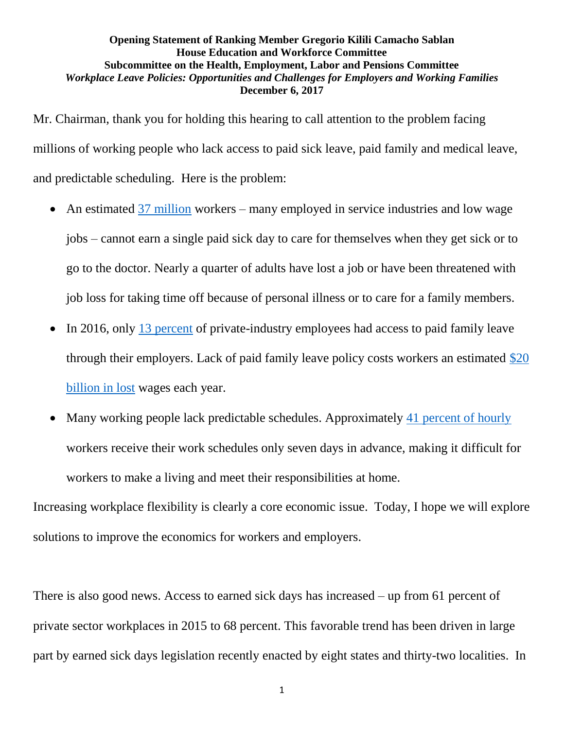## **Opening Statement of Ranking Member Gregorio Kilili Camacho Sablan House Education and Workforce Committee Subcommittee on the Health, Employment, Labor and Pensions Committee** *Workplace Leave Policies: Opportunities and Challenges for Employers and Working Families* **December 6, 2017**

Mr. Chairman, thank you for holding this hearing to call attention to the problem facing millions of working people who lack access to paid sick leave, paid family and medical leave, and predictable scheduling. Here is the problem:

- An estimated [37 million](http://www.nationalpartnership.org/news-room/press-releases/dramatic-rise-in-private-sector-access-to-paid-sick-time-marks-historic-progress-for-workers-businesses-and-the-economy-but-tens-of-millions-still-left-behind.html?referrer=http://www.nat) workers many employed in service industries and low wage jobs – cannot earn a single paid sick day to care for themselves when they get sick or to go to the doctor. Nearly a quarter of adults have lost a job or have been threatened with job loss for taking time off because of personal illness or to care for a family members.
- $\bullet$  In 2016, only [13 percent](https://www.bls.gov/opub/ted/2016/13-percent-of-private-industry-workers-had-access-to-paid-family-leave-in-march-2016.htm) of private-industry employees had access to paid family leave through their employers. Lack of paid family leave policy costs workers an estimated  $$20$ [billion in lost](https://www.americanprogress.org/press/release/2016/09/22/142606/release-u-s-families-lose-out-on-28-9-billion-in-lost-wages-annually-due-to-lack-of-affordable-child-care-and-paid-family-leave-cap-analysis-finds/) wages each year.
- Many working people lack predictable schedules. Approximately [41 percent of hourly](http://www.epi.org/publication/irregular-work-scheduling-and-its-consequences/) workers receive their work schedules only seven days in advance, making it difficult for workers to make a living and meet their responsibilities at home.

Increasing workplace flexibility is clearly a core economic issue. Today, I hope we will explore solutions to improve the economics for workers and employers.

There is also good news. Access to earned sick days has increased – up from 61 percent of private sector workplaces in 2015 to 68 percent. This favorable trend has been driven in large part by earned sick days legislation recently enacted by eight states and thirty-two localities. In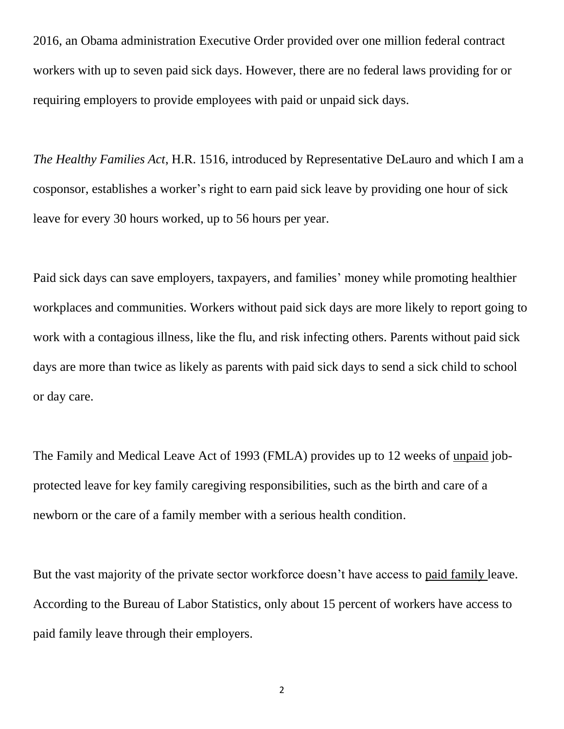2016, an Obama administration Executive Order provided over one million federal contract workers with up to seven paid sick days. However, there are no federal laws providing for or requiring employers to provide employees with paid or unpaid sick days.

*The Healthy Families Act*, H.R. 1516, introduced by Representative DeLauro and which I am a cosponsor, establishes a worker's right to earn paid sick leave by providing one hour of sick leave for every 30 hours worked, up to 56 hours per year.

Paid sick days can save employers, taxpayers, and families' money while promoting healthier workplaces and communities. Workers without paid sick days are more likely to report going to work with a contagious illness, like the flu, and risk infecting others. Parents without paid sick days are more than twice as likely as parents with paid sick days to send a sick child to school or day care.

The Family and Medical Leave Act of 1993 (FMLA) provides up to 12 weeks of unpaid jobprotected leave for key family caregiving responsibilities, such as the birth and care of a newborn or the care of a family member with a serious health condition.

But the vast majority of the private sector workforce doesn't have access to paid family leave. According to the Bureau of Labor Statistics, only about 15 percent of workers have access to paid family leave through their employers.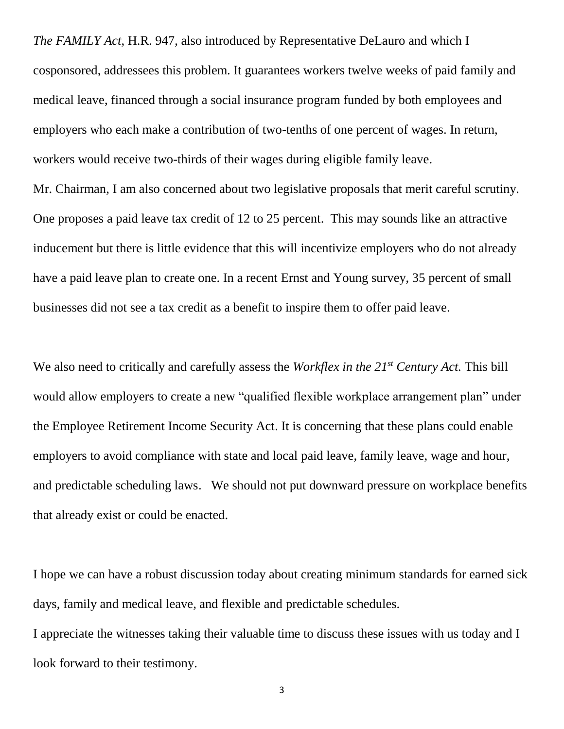*The FAMILY Act*, H.R. 947, also introduced by Representative DeLauro and which I cosponsored, addressees this problem. It guarantees workers twelve weeks of paid family and medical leave, financed through a social insurance program funded by both employees and employers who each make a contribution of two-tenths of one percent of wages. In return, workers would receive two-thirds of their wages during eligible family leave. Mr. Chairman, I am also concerned about two legislative proposals that merit careful scrutiny. One proposes a paid leave tax credit of 12 to 25 percent. This may sounds like an attractive inducement but there is little evidence that this will incentivize employers who do not already have a paid leave plan to create one. In a recent Ernst and Young survey, 35 percent of small businesses did not see a tax credit as a benefit to inspire them to offer paid leave.

We also need to critically and carefully assess the *Workflex in the 21st Century Act.* This bill would allow employers to create a new "qualified flexible workplace arrangement plan" under the Employee Retirement Income Security Act. It is concerning that these plans could enable employers to avoid compliance with state and local paid leave, family leave, wage and hour, and predictable scheduling laws. We should not put downward pressure on workplace benefits that already exist or could be enacted.

I hope we can have a robust discussion today about creating minimum standards for earned sick days, family and medical leave, and flexible and predictable schedules.

I appreciate the witnesses taking their valuable time to discuss these issues with us today and I look forward to their testimony.